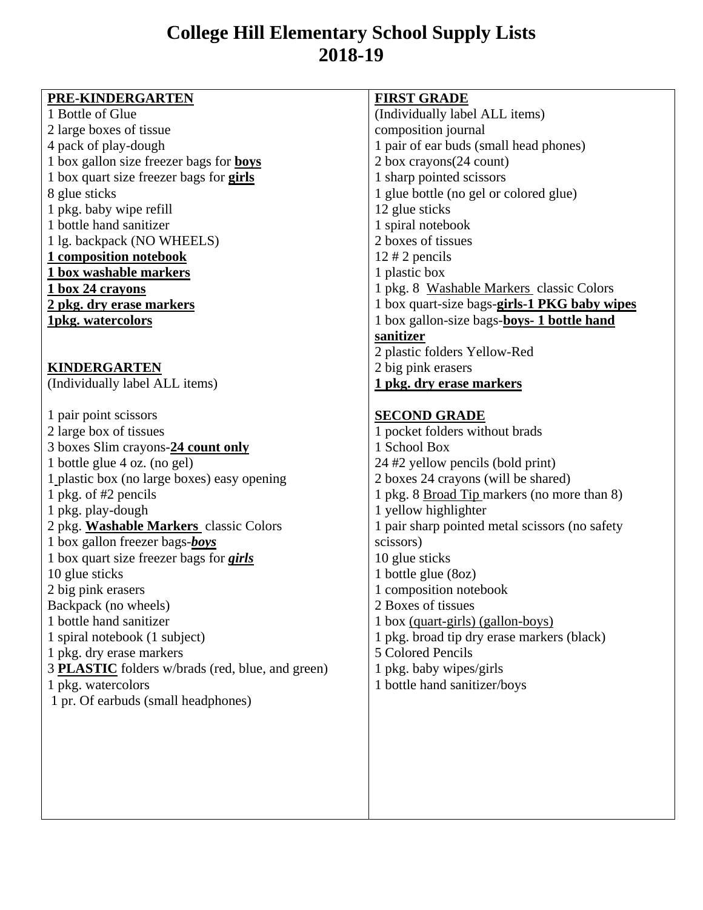## **College Hill Elementary School Supply Lists 2018-19**

| PRE-KINDERGARTEN                                 | <b>FIRST GRADE</b>                             |
|--------------------------------------------------|------------------------------------------------|
| 1 Bottle of Glue                                 | (Individually label ALL items)                 |
| 2 large boxes of tissue                          | composition journal                            |
| 4 pack of play-dough                             | 1 pair of ear buds (small head phones)         |
| 1 box gallon size freezer bags for <b>boys</b>   | 2 box crayons(24 count)                        |
| 1 box quart size freezer bags for <b>girls</b>   | 1 sharp pointed scissors                       |
| 8 glue sticks                                    | 1 glue bottle (no gel or colored glue)         |
| 1 pkg. baby wipe refill                          | 12 glue sticks                                 |
| 1 bottle hand sanitizer                          | 1 spiral notebook                              |
| 1 lg. backpack (NO WHEELS)                       | 2 boxes of tissues                             |
| 1 composition notebook                           | $12 \# 2$ pencils                              |
| 1 box washable markers                           | 1 plastic box                                  |
| <u>1 box 24 crayons</u>                          | 1 pkg. 8 Washable Markers classic Colors       |
| 2 pkg. dry erase markers                         | 1 box quart-size bags-girls-1 PKG baby wipes   |
| <b>1pkg. watercolors</b>                         | 1 box gallon-size bags-boys- 1 bottle hand     |
|                                                  | sanitizer                                      |
|                                                  | 2 plastic folders Yellow-Red                   |
| <b>KINDERGARTEN</b>                              | 2 big pink erasers                             |
| (Individually label ALL items)                   | 1 pkg. dry erase markers                       |
|                                                  |                                                |
| 1 pair point scissors                            | <b>SECOND GRADE</b>                            |
| 2 large box of tissues                           | 1 pocket folders without brads                 |
| 3 boxes Slim crayons-24 count only               | 1 School Box                                   |
| 1 bottle glue 4 oz. (no gel)                     | 24 #2 yellow pencils (bold print)              |
| 1 plastic box (no large boxes) easy opening      | 2 boxes 24 crayons (will be shared)            |
| 1 pkg. of #2 pencils                             | 1 pkg. 8 Broad Tip markers (no more than 8)    |
| 1 pkg. play-dough                                | 1 yellow highlighter                           |
| 2 pkg. Washable Markers classic Colors           | 1 pair sharp pointed metal scissors (no safety |
| 1 box gallon freezer bags-boys                   | scissors)                                      |
| 1 box quart size freezer bags for <i>girls</i>   | 10 glue sticks                                 |
| 10 glue sticks                                   | 1 bottle glue (8oz)                            |
| 2 big pink erasers                               | 1 composition notebook                         |
| Backpack (no wheels)                             | 2 Boxes of tissues                             |
| 1 bottle hand sanitizer                          | 1 box (quart-girls) (gallon-boys)              |
| 1 spiral notebook (1 subject)                    | 1 pkg. broad tip dry erase markers (black)     |
| 1 pkg. dry erase markers                         | 5 Colored Pencils                              |
| 3 PLASTIC folders w/brads (red, blue, and green) | 1 pkg. baby wipes/girls                        |
| 1 pkg. watercolors                               | 1 bottle hand sanitizer/boys                   |
| 1 pr. Of earbuds (small headphones)              |                                                |
|                                                  |                                                |
|                                                  |                                                |
|                                                  |                                                |
|                                                  |                                                |
|                                                  |                                                |
|                                                  |                                                |